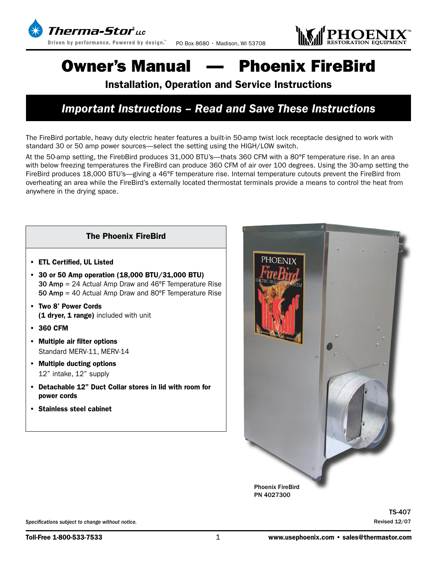



# Owner's Manual — Phoenix FireBird

### Installation, Operation and Service Instructions

### *Important Instructions – Read and Save These Instructions*

The FireBird portable, heavy duty electric heater features a built-in 50-amp twist lock receptacle designed to work with standard 30 or 50 amp power sources—select the setting using the HIGH/LOW switch.

At the 50-amp setting, the FirebBird produces 31,000 BTU's—thats 360 CFM with a 80°F temperature rise. In an area with below freezing temperatures the FireBird can produce 360 CFM of air over 100 degrees. Using the 30-amp setting the FireBird produces 18,000 BTU's—giving a 46°F temperature rise. Internal temperature cutouts prevent the FireBird from overheating an area while the FireBird's externally located thermostat terminals provide a means to control the heat from anywhere in the drying space.

#### The Phoenix FireBird

- ETL Certified, UL Listed
- 30 or 50 Amp operation (18,000 BTU/31,000 BTU) 30 Amp = 24 Actual Amp Draw and 46ºF Temperature Rise 50 Amp = 40 Actual Amp Draw and 80ºF Temperature Rise
- Two 8' Power Cords (1 dryer, 1 range) included with unit
- 360 CFM
- Multiple air filter options Standard MERV-11, MERV-14
- Multiple ducting options 12" intake, 12" supply
- Detachable 12" Duct Collar stores in lid with room for power cords
- Stainless steel cabinet



*Specifications subject to change without notice.*

Revised 12/07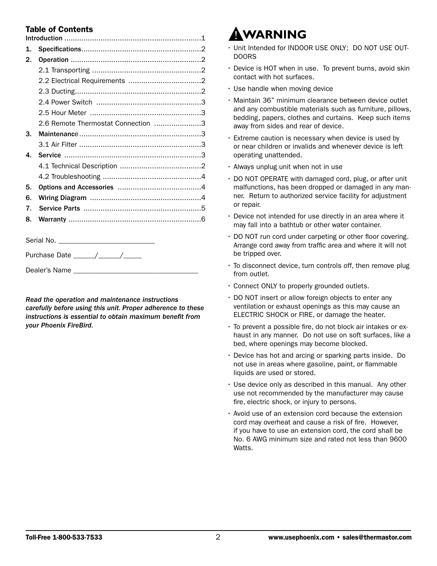### Table of Contents

| $\mathbf{1}$ . |                                    |  |  |  |
|----------------|------------------------------------|--|--|--|
| 2.             |                                    |  |  |  |
|                |                                    |  |  |  |
|                |                                    |  |  |  |
|                |                                    |  |  |  |
|                |                                    |  |  |  |
|                |                                    |  |  |  |
|                | 2.6 Remote Thermostat Connection 3 |  |  |  |
| 3.             |                                    |  |  |  |
|                |                                    |  |  |  |
| 4.             |                                    |  |  |  |
|                |                                    |  |  |  |
|                |                                    |  |  |  |
| 5.             |                                    |  |  |  |
| 6.             |                                    |  |  |  |
| 7.             |                                    |  |  |  |
| 8.             |                                    |  |  |  |
|                |                                    |  |  |  |
|                |                                    |  |  |  |
|                |                                    |  |  |  |

Dealer's Name

*Read the operation and maintenance instructions carefully before using this unit. Proper adherence to these instructions is essential to obtain maximum benefit from your Phoenix FireBird.*

# **WARNING**

- Unit Intended for INDOOR USE ONLY; DO NOT USE OUT-DOORS
- Device is HOT when in use. To prevent burns, avoid skin contact with hot surfaces.
- Use handle when moving device
- Maintain 36" minimum clearance between device outlet and any combustible materials such as furniture, pillows, bedding, papers, clothes and curtains. Keep such items away from sides and rear of device.
- Extreme caution is necessary when device is used by or near children or invalids and whenever device is left operating unattended.
- Always unplug unit when not in use
- DO NOT OPERATE with damaged cord, plug, or after unit malfunctions, has been dropped or damaged in any manner. Return to authorized service facility for adjustment or repair.
- Device not intended for use directly in an area where it may fall into a bathtub or other water container.
- DO NOT run cord under carpeting or other floor covering. Arrange cord away from traffic area and where it will not be tripped over.
- To disconnect device, turn controls off, then remove plug from outlet.
- Connect ONLY to properly grounded outlets.
- DO NOT insert or allow foreign objects to enter any ventilation or exhaust openings as this may cause an ELECTRIC SHOCK or FIRE, or damage the heater.
- To prevent a possible fire, do not block air intakes or exhaust in any manner. Do not use on soft surfaces, like a bed, where openings may become blocked.
- Device has hot and arcing or sparking parts inside. Do not use in areas where gasoline, paint, or flammable liquids are used or stored.
- Use device only as described in this manual. Any other use not recommended by the manufacturer may cause fire, electric shock, or injury to persons.
- Avoid use of an extension cord because the extension cord may overheat and cause a risk of fire. However, if you have to use an extension cord, the cord shall be No. 6 AWG minimum size and rated not less than 9600 Watts.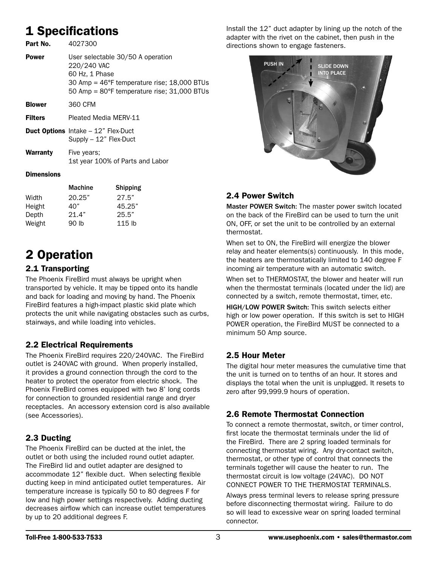### 1 Specifications

| Part No.       | 4027300                                                                                                                                                                              |
|----------------|--------------------------------------------------------------------------------------------------------------------------------------------------------------------------------------|
| Power          | User selectable 30/50 A operation<br>220/240 VAC<br>60 Hz, 1 Phase<br>30 Amp = $46^{\circ}$ F temperature rise; 18,000 BTUs<br>50 Amp = $80^{\circ}$ F temperature rise; 31,000 BTUs |
| <b>Blower</b>  | 360 CFM                                                                                                                                                                              |
| <b>Filters</b> | Pleated Media MFRV-11                                                                                                                                                                |
|                | <b>Duct Options</b> Intake - 12" Flex-Duct<br>Supply $-12$ " Flex-Duct                                                                                                               |
| Warranty       | Five years;<br>1st year 100% of Parts and Labor                                                                                                                                      |

#### **Dimensions**

|        | <b>Machine</b> | <b>Shipping</b> |
|--------|----------------|-----------------|
| Width  | 20.25"         | 27.5"           |
| Height | 40"            | 45.25"          |
| Depth  | 21.4"          | 25.5"           |
| Weight | 90 lb          | $115$ lb        |

### 2 Operation

### 2.1 Transporting

The Phoenix FireBird must always be upright when transported by vehicle. It may be tipped onto its handle and back for loading and moving by hand. The Phoenix FireBird features a high-impact plastic skid plate which protects the unit while navigating obstacles such as curbs, stairways, and while loading into vehicles.

#### 2.2 Electrical Requirements

The Phoenix FireBird requires 220/240VAC. The FireBird outlet is 240VAC with ground. When properly installed, it provides a ground connection through the cord to the heater to protect the operator from electric shock. The Phoenix FireBird comes equipped with two 8' long cords for connection to grounded residential range and dryer receptacles. An accessory extension cord is also available (see Accessories).

### 2.3 Ducting

The Phoenix FireBird can be ducted at the inlet, the outlet or both using the included round outlet adapter. The FireBird lid and outlet adapter are designed to accommodate 12" flexible duct. When selecting flexible ducting keep in mind anticipated outlet temperatures. Air temperature increase is typically 50 to 80 degrees F for low and high power settings respectively. Adding ducting decreases airflow which can increase outlet temperatures by up to 20 additional degrees F.

Install the 12" duct adapter by lining up the notch of the adapter with the rivet on the cabinet, then push in the directions shown to engage fasteners.



### 2.4 Power Switch

Master POWER Switch: The master power switch located on the back of the FireBird can be used to turn the unit ON, OFF, or set the unit to be controlled by an external thermostat.

When set to ON, the FireBird will energize the blower relay and heater elements(s) continuously. In this mode, the heaters are thermostatically limited to 140 degree F incoming air temperature with an automatic switch.

When set to THERMOSTAT, the blower and heater will run when the thermostat terminals (located under the lid) are connected by a switch, remote thermostat, timer, etc.

HIGH/LOW POWER Switch: This switch selects either high or low power operation. If this switch is set to HIGH POWER operation, the FireBird MUST be connected to a minimum 50 Amp source.

### 2.5 Hour Meter

The digital hour meter measures the cumulative time that the unit is turned on to tenths of an hour. It stores and displays the total when the unit is unplugged. It resets to zero after 99,999.9 hours of operation.

### 2.6 Remote Thermostat Connection

To connect a remote thermostat, switch, or timer control, first locate the thermostat terminals under the lid of the FireBird. There are 2 spring loaded terminals for connecting thermostat wiring. Any dry-contact switch, thermostat, or other type of control that connects the terminals together will cause the heater to run. The thermostat circuit is low voltage (24VAC). DO NOT CONNECT POWER TO THE THERMOSTAT TERMINALS.

Always press terminal levers to release spring pressure before disconnecting thermostat wiring. Failure to do so will lead to excessive wear on spring loaded terminal connector.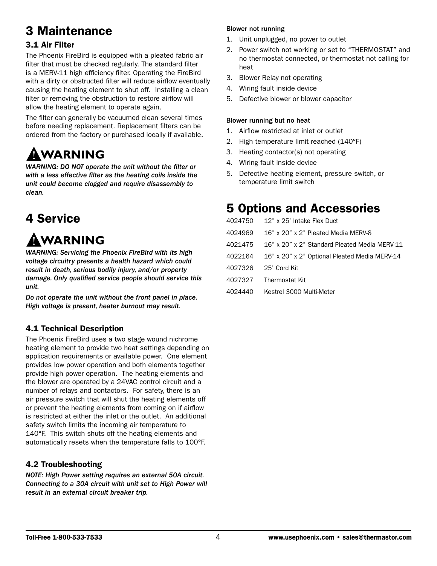## 3 Maintenance

### 3.1 Air Filter

The Phoenix FireBird is equipped with a pleated fabric air filter that must be checked regularly. The standard filter is a MERV-11 high efficiency filter. Operating the FireBird with a dirty or obstructed filter will reduce airflow eventually causing the heating element to shut off. Installing a clean filter or removing the obstruction to restore airflow will allow the heating element to operate again.

The filter can generally be vacuumed clean several times before needing replacement. Replacement filters can be ordered from the factory or purchased locally if available.

# WARNING

*WARNING: DO NOT operate the unit without the filter or with a less effective filter as the heating coils inside the unit could become clogged and require disassembly to clean.*

### 4 Service

# AWARNING

*WARNING: Servicing the Phoenix FireBird with its high voltage circuitry presents a health hazard which could result in death, serious bodily injury, and/or property damage. Only qualified service people should service this unit.*

*Do not operate the unit without the front panel in place. High voltage is present, heater burnout may result.*

### 4.1 Technical Description

The Phoenix FireBird uses a two stage wound nichrome heating element to provide two heat settings depending on application requirements or available power. One element provides low power operation and both elements together provide high power operation. The heating elements and the blower are operated by a 24VAC control circuit and a number of relays and contactors. For safety, there is an air pressure switch that will shut the heating elements off or prevent the heating elements from coming on if airflow is restricted at either the inlet or the outlet. An additional safety switch limits the incoming air temperature to 140°F. This switch shuts off the heating elements and automatically resets when the temperature falls to 100°F.

### 4.2 Troubleshooting

*NOTE: High Power setting requires an external 50A circuit. Connecting to a 30A circuit with unit set to High Power will result in an external circuit breaker trip.*

#### Blower not running

- 1. Unit unplugged, no power to outlet
- 2. Power switch not working or set to "THERMOSTAT" and no thermostat connected, or thermostat not calling for heat
- 3. Blower Relay not operating
- 4. Wiring fault inside device
- 5. Defective blower or blower capacitor

#### Blower running but no heat

- 1. Airflow restricted at inlet or outlet
- 2. High temperature limit reached (140°F)
- 3. Heating contactor(s) not operating
- 4. Wiring fault inside device
- 5. Defective heating element, pressure switch, or temperature limit switch

### 5 Options and Accessories

|         | 4024750 12" x 25' Intake Flex Duct                                                                                                          |
|---------|---------------------------------------------------------------------------------------------------------------------------------------------|
| 4024969 | 16" x 20" x 2" Pleated Media MFRV-8                                                                                                         |
| 4021475 | 16" x 20" x 2" Standard Pleated Media MERV-11                                                                                               |
| 4022164 | 16" x 20" x 2" Optional Pleated Media MERV-14                                                                                               |
|         | 4027326 25' Cord Kit                                                                                                                        |
|         | 4027327 Thermostat Kit                                                                                                                      |
|         | $\mathbf{11}$ $\mathbf{12}$ $\mathbf{13}$ $\mathbf{14}$ $\mathbf{11}$ $\mathbf{11}$ $\mathbf{12}$ $\mathbf{13}$ $\mathbf{14}$ $\mathbf{15}$ |

4024440 Kestrel 3000 Multi-Meter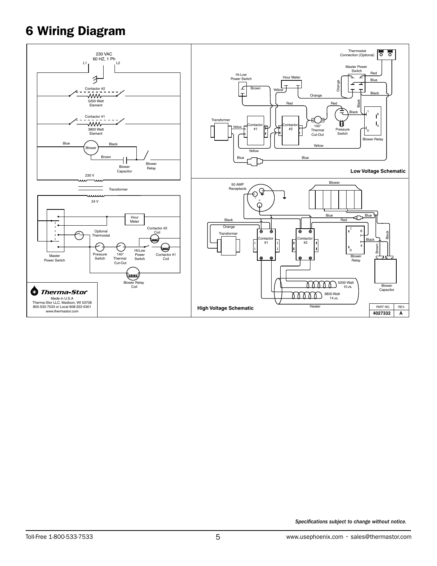### 6 Wiring Diagram

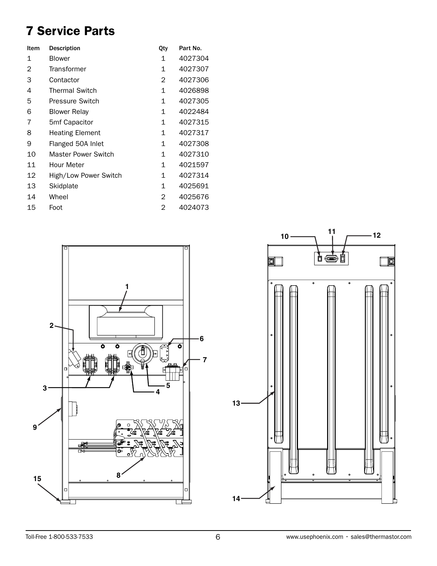## 7 Service Parts

| <b>Description</b>     | Qty | Part No. |
|------------------------|-----|----------|
| <b>Blower</b>          | 1   | 4027304  |
| Transformer            | 1   | 4027307  |
| Contactor              | 2   | 4027306  |
| <b>Thermal Switch</b>  | 1   | 4026898  |
| Pressure Switch        | 1   | 4027305  |
| <b>Blower Relay</b>    | 1   | 4022484  |
| 5mf Capacitor          | 1   | 4027315  |
| <b>Heating Element</b> | 1   | 4027317  |
| Flanged 50A Inlet      | 1   | 4027308  |
| Master Power Switch    | 1   | 4027310  |
| Hour Meter             | 1   | 4021597  |
| High/Low Power Switch  | 1   | 4027314  |
| Skidplate              | 1   | 4025691  |
| Wheel                  | 2   | 4025676  |
| Foot                   | 2   | 4024073  |
|                        |     |          |